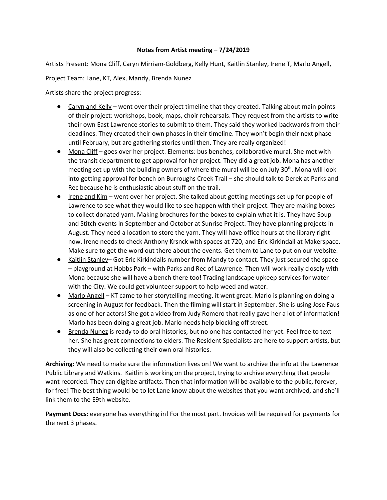## **Notes from Artist meeting – 7/24/2019**

Artists Present: Mona Cliff, Caryn Mirriam-Goldberg, Kelly Hunt, Kaitlin Stanley, Irene T, Marlo Angell,

Project Team: Lane, KT, Alex, Mandy, Brenda Nunez

Artists share the project progress:

- Caryn and Kelly went over their project timeline that they created. Talking about main points of their project: workshops, book, maps, choir rehearsals. They request from the artists to write their own East Lawrence stories to submit to them. They said they worked backwards from their deadlines. They created their own phases in their timeline. They won't begin their next phase until February, but are gathering stories until then. They are really organized!
- Mona Cliff goes over her project. Elements: bus benches, collaborative mural. She met with the transit department to get approval for her project. They did a great job. Mona has another meeting set up with the building owners of where the mural will be on July 30<sup>th</sup>. Mona will look into getting approval for bench on Burroughs Creek Trail – she should talk to Derek at Parks and Rec because he is enthusiastic about stuff on the trail.
- Irene and Kim went over her project. She talked about getting meetings set up for people of Lawrence to see what they would like to see happen with their project. They are making boxes to collect donated yarn. Making brochures for the boxes to explain what it is. They have Soup and Stitch events in September and October at Sunrise Project. They have planning projects in August. They need a location to store the yarn. They will have office hours at the library right now. Irene needs to check Anthony Krsnck with spaces at 720, and Eric Kirkindall at Makerspace. Make sure to get the word out there about the events. Get them to Lane to put on our website.
- Kaitlin Stanley– Got Eric Kirkindalls number from Mandy to contact. They just secured the space – playground at Hobbs Park – with Parks and Rec of Lawrence. Then will work really closely with Mona because she will have a bench there too! Trading landscape upkeep services for water with the City. We could get volunteer support to help weed and water.
- Marlo Angell KT came to her storytelling meeting, it went great. Marlo is planning on doing a screening in August for feedback. Then the filming will start in September. She is using Jose Faus as one of her actors! She got a video from Judy Romero that really gave her a lot of information! Marlo has been doing a great job. Marlo needs help blocking off street.
- Brenda Nunez is ready to do oral histories, but no one has contacted her yet. Feel free to text her. She has great connections to elders. The Resident Specialists are here to support artists, but they will also be collecting their own oral histories.

**Archiving**: We need to make sure the information lives on! We want to archive the info at the Lawrence Public Library and Watkins. Kaitlin is working on the project, trying to archive everything that people want recorded. They can digitize artifacts. Then that information will be available to the public, forever, for free! The best thing would be to let Lane know about the websites that you want archived, and she'll link them to the E9th website.

**Payment Docs**: everyone has everything in! For the most part. Invoices will be required for payments for the next 3 phases.